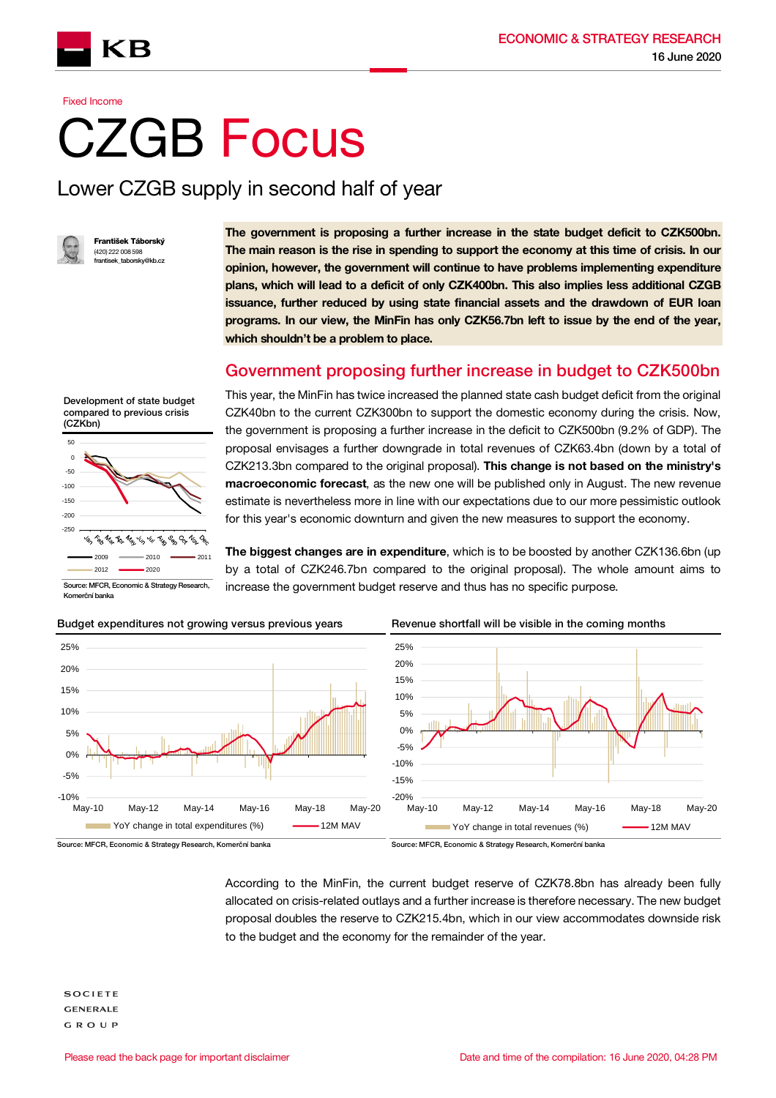

**Fixed Income** 

# CZGB Focus

## Lower CZGB supply in second half of year



František Táborský (420) 222 008 598 k taborsky@

The government is proposing a further increase in the state budget deficit to CZK500bn. The main reason is the rise in spending to support the economy at this time of crisis. In our opinion, however, the government will continue to have problems implementing expenditure plans, which will lead to a deficit of only CZK400bn. This also implies less additional CZGB issuance, further reduced by using state financial assets and the drawdown of EUR loan programs. In our view, the MinFin has only CZK56.7bn left to issue by the end of the year, which shouldn't be a problem to place.

#### Government proposing further increase in budget to CZK500bn



Komerční banka

This year, the MinFin has twice increased the planned state cash budget deficit from the original CZK40bn to the current CZK300bn to support the domestic economy during the crisis. Now, the government is proposing a further increase in the deficit to CZK500bn (9.2% of GDP). The proposal envisages a further downgrade in total revenues of CZK63.4bn (down by a total of CZK213.3bn compared to the original proposal). This change is not based on the ministry's macroeconomic forecast, as the new one will be published only in August. The new revenue estimate is nevertheless more in line with our expectations due to our more pessimistic outlook for this year's economic downturn and given the new measures to support the economy.

The biggest changes are in expenditure, which is to be boosted by another CZK136.6bn (up by a total of CZK246.7bn compared to the original proposal). The whole amount aims to increase the government budget reserve and thus has no specific purpose.



Budget expenditures not growing versus previous years Revenue shortfall will be visible in the coming months



According to the MinFin, the current budget reserve of CZK78.8bn has already been fully allocated on crisis-related outlays and a further increase is therefore necessary. The new budget proposal doubles the reserve to CZK215.4bn, which in our view accommodates downside risk to the budget and the economy for the remainder of the year.

**SOCIETE GENERALE GROUP** 

Source: MFCR, Economic & Strategy Research, Komerční banka Source: MFCR, Economic & Strategy Research, Komerční banka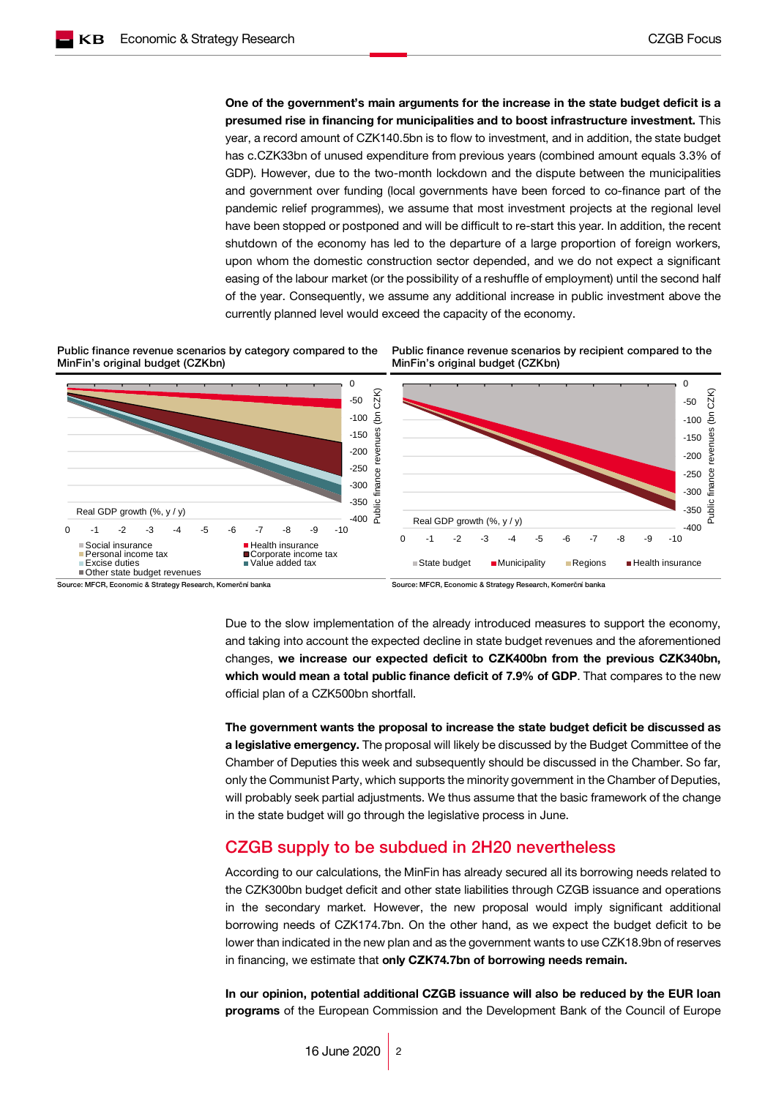One of the government's main arguments for the increase in the state budget deficit is a presumed rise in financing for municipalities and to boost infrastructure investment. This year, a record amount of CZK140.5bn is to flow to investment, and in addition, the state budget has c.CZK33bn of unused expenditure from previous years (combined amount equals 3.3% of GDP). However, due to the two-month lockdown and the dispute between the municipalities and government over funding (local governments have been forced to co-finance part of the pandemic relief programmes), we assume that most investment projects at the regional level have been stopped or postponed and will be difficult to re-start this year. In addition, the recent shutdown of the economy has led to the departure of a large proportion of foreign workers, upon whom the domestic construction sector depended, and we do not expect a significant easing of the labour market (or the possibility of a reshuffle of employment) until the second half of the year. Consequently, we assume any additional increase in public investment above the currently planned level would exceed the capacity of the economy.

MinFin's original budget (CZKbn)

Public finance revenue scenarios by category compared to the MinFin's original budget (CZKbn)



Source: MFCR, Economic & Strategy Research, Komerční banka Source: MFCR, Economic & Strategy Research, Komerční banka

Public finance revenue scenarios by recipient compared to the

Due to the slow implementation of the already introduced measures to support the economy, and taking into account the expected decline in state budget revenues and the aforementioned changes, we increase our expected deficit to CZK400bn from the previous CZK340bn, which would mean a total public finance deficit of 7.9% of GDP. That compares to the new official plan of a CZK500bn shortfall.

The government wants the proposal to increase the state budget deficit be discussed as a legislative emergency. The proposal will likely be discussed by the Budget Committee of the Chamber of Deputies this week and subsequently should be discussed in the Chamber. So far, only the Communist Party, which supports the minority government in the Chamber of Deputies, will probably seek partial adjustments. We thus assume that the basic framework of the change in the state budget will go through the legislative process in June.

#### CZGB supply to be subdued in 2H20 nevertheless

According to our calculations, the MinFin has already secured all its borrowing needs related to the CZK300bn budget deficit and other state liabilities through CZGB issuance and operations in the secondary market. However, the new proposal would imply significant additional borrowing needs of CZK174.7bn. On the other hand, as we expect the budget deficit to be lower than indicated in the new plan and as the government wants to use CZK18.9bn of reserves in financing, we estimate that only CZK74.7bn of borrowing needs remain.

In our opinion, potential additional CZGB issuance will also be reduced by the EUR loan programs of the European Commission and the Development Bank of the Council of Europe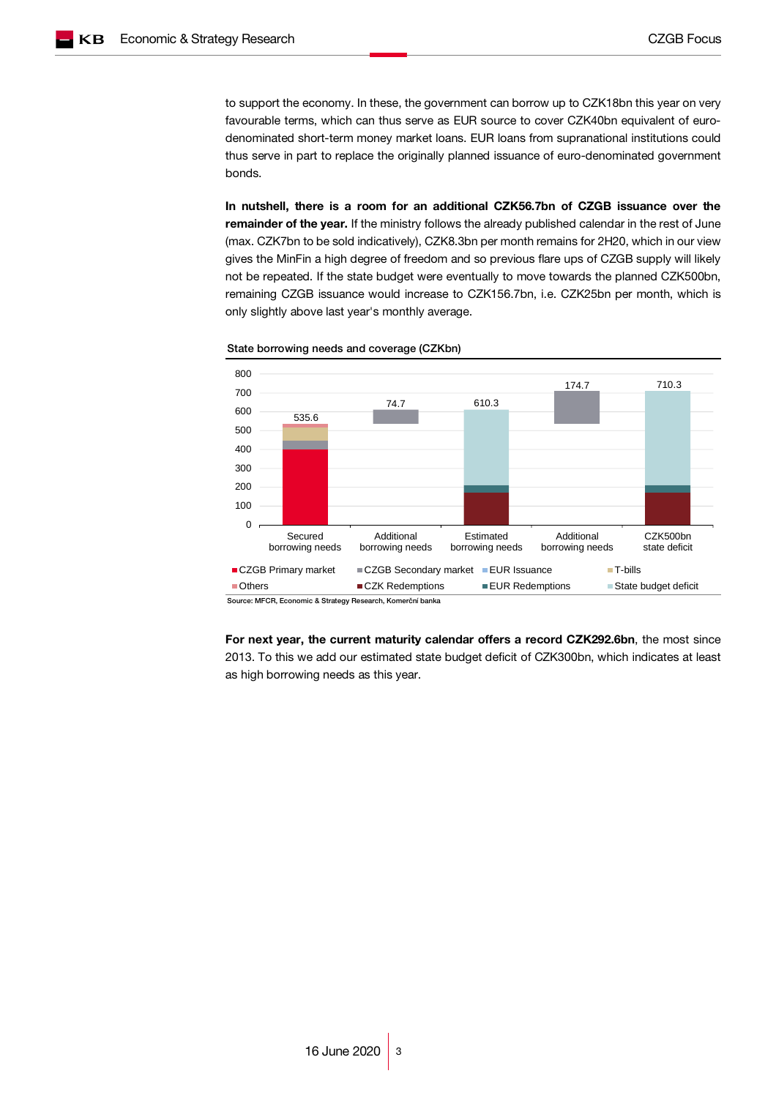to support the economy. In these, the government can borrow up to CZK18bn this year on very favourable terms, which can thus serve as EUR source to cover CZK40bn equivalent of eurodenominated short-term money market loans. EUR loans from supranational institutions could thus serve in part to replace the originally planned issuance of euro-denominated government bonds.

In nutshell, there is a room for an additional CZK56.7bn of CZGB issuance over the remainder of the year. If the ministry follows the already published calendar in the rest of June (max. CZK7bn to be sold indicatively), CZK8.3bn per month remains for 2H20, which in our view gives the MinFin a high degree of freedom and so previous flare ups of CZGB supply will likely not be repeated. If the state budget were eventually to move towards the planned CZK500bn, remaining CZGB issuance would increase to CZK156.7bn, i.e. CZK25bn per month, which is only slightly above last year's monthly average.



State borrowing needs and coverage (CZKbn)

For next year, the current maturity calendar offers a record CZK292.6bn, the most since 2013. To this we add our estimated state budget deficit of CZK300bn, which indicates at least as high borrowing needs as this year.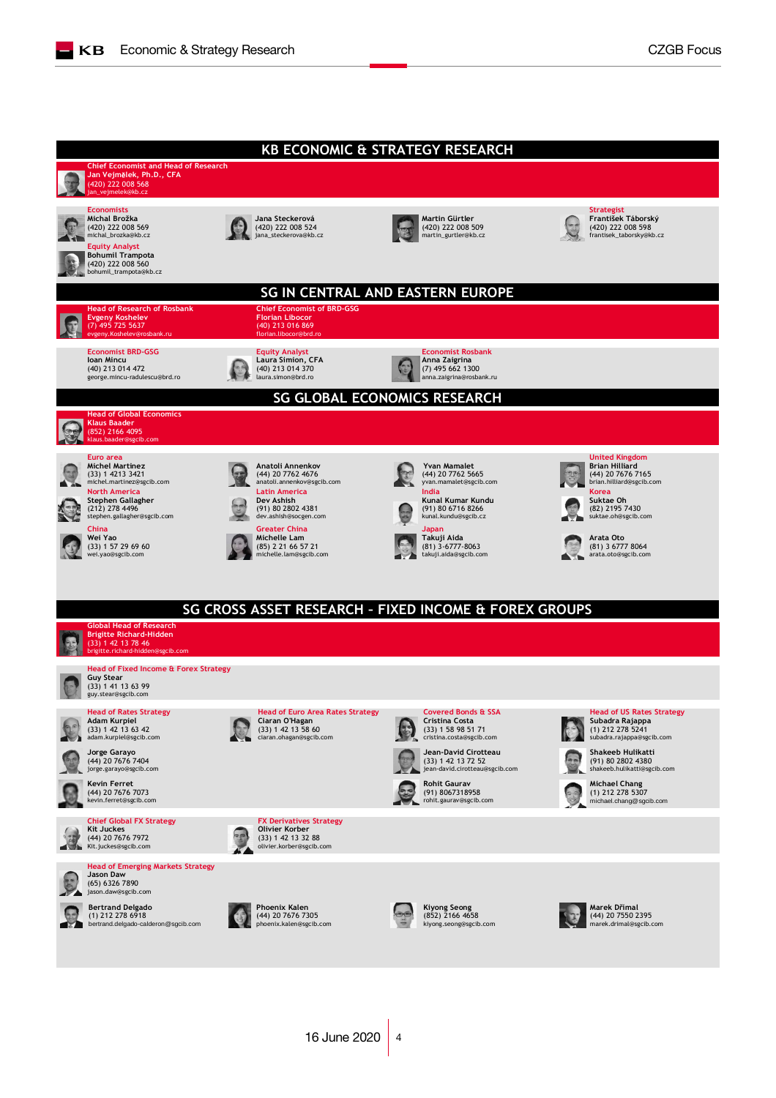